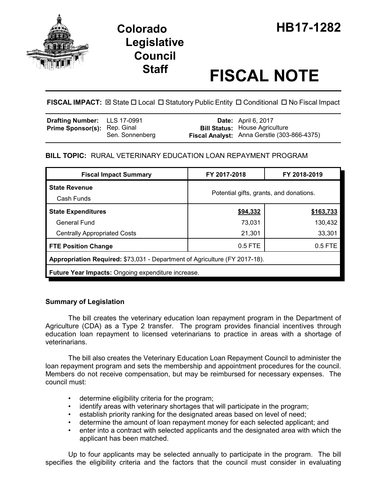

# **Legislative Council**

# **Staff FISCAL NOTE**

# **FISCAL IMPACT:**  $\boxtimes$  **State □ Local □ Statutory Public Entity □ Conditional □ No Fiscal Impact**

| Drafting Number: LLS 17-0991        |                 | <b>Date:</b> April 6, 2017                                                           |
|-------------------------------------|-----------------|--------------------------------------------------------------------------------------|
| <b>Prime Sponsor(s): Rep. Ginal</b> | Sen. Sonnenberg | <b>Bill Status: House Agriculture</b><br>Fiscal Analyst: Anna Gerstle (303-866-4375) |

# **BILL TOPIC:** RURAL VETERINARY EDUCATION LOAN REPAYMENT PROGRAM

| <b>Fiscal Impact Summary</b>                                               | FY 2017-2018                            | FY 2018-2019 |  |  |  |
|----------------------------------------------------------------------------|-----------------------------------------|--------------|--|--|--|
| <b>State Revenue</b><br>Cash Funds                                         | Potential gifts, grants, and donations. |              |  |  |  |
| <b>State Expenditures</b>                                                  | \$94,332                                | \$163,733    |  |  |  |
| <b>General Fund</b>                                                        | 73,031                                  | 130,432      |  |  |  |
| <b>Centrally Appropriated Costs</b>                                        | 21,301                                  | 33,301       |  |  |  |
| <b>FTE Position Change</b>                                                 | $0.5$ FTE                               | $0.5$ FTE    |  |  |  |
| Appropriation Required: \$73,031 - Department of Agriculture (FY 2017-18). |                                         |              |  |  |  |
| <b>Future Year Impacts: Ongoing expenditure increase.</b>                  |                                         |              |  |  |  |

## **Summary of Legislation**

The bill creates the veterinary education loan repayment program in the Department of Agriculture (CDA) as a Type 2 transfer. The program provides financial incentives through education loan repayment to licensed veterinarians to practice in areas with a shortage of veterinarians.

The bill also creates the Veterinary Education Loan Repayment Council to administer the loan repayment program and sets the membership and appointment procedures for the council. Members do not receive compensation, but may be reimbursed for necessary expenses. The council must:

- determine eligibility criteria for the program;
- identify areas with veterinary shortages that will participate in the program;
- establish priority ranking for the designated areas based on level of need;
- determine the amount of loan repayment money for each selected applicant; and
- enter into a contract with selected applicants and the designated area with which the applicant has been matched.

Up to four applicants may be selected annually to participate in the program. The bill specifies the eligibility criteria and the factors that the council must consider in evaluating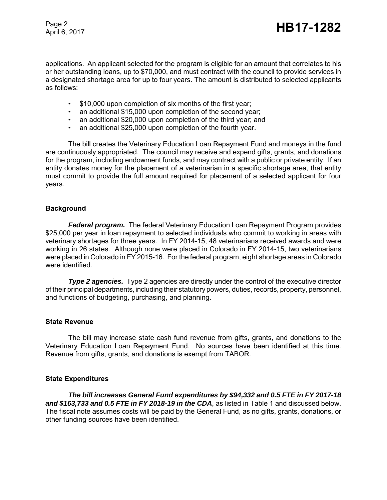Page 2

applications. An applicant selected for the program is eligible for an amount that correlates to his or her outstanding loans, up to \$70,000, and must contract with the council to provide services in a designated shortage area for up to four years. The amount is distributed to selected applicants as follows:

- \$10,000 upon completion of six months of the first year;
- an additional \$15,000 upon completion of the second year;
- an additional \$20,000 upon completion of the third year; and
- an additional \$25,000 upon completion of the fourth year.

The bill creates the Veterinary Education Loan Repayment Fund and moneys in the fund are continuously appropriated. The council may receive and expend gifts, grants, and donations for the program, including endowment funds, and may contract with a public or private entity. If an entity donates money for the placement of a veterinarian in a specific shortage area, that entity must commit to provide the full amount required for placement of a selected applicant for four years.

#### **Background**

*Federal program.* The federal Veterinary Education Loan Repayment Program provides \$25,000 per year in loan repayment to selected individuals who commit to working in areas with veterinary shortages for three years. In FY 2014-15, 48 veterinarians received awards and were working in 26 states. Although none were placed in Colorado in FY 2014-15, two veterinarians were placed in Colorado in FY 2015-16. For the federal program, eight shortage areas in Colorado were identified.

**Type 2 agencies.** Type 2 agencies are directly under the control of the executive director of their principal departments, including their statutory powers, duties, records, property, personnel, and functions of budgeting, purchasing, and planning.

#### **State Revenue**

The bill may increase state cash fund revenue from gifts, grants, and donations to the Veterinary Education Loan Repayment Fund. No sources have been identified at this time. Revenue from gifts, grants, and donations is exempt from TABOR.

#### **State Expenditures**

*The bill increases General Fund expenditures by \$94,332 and 0.5 FTE in FY 2017-18 and \$163,733 and 0.5 FTE in FY 2018-19 in the CDA*, as listed in Table 1 and discussed below. The fiscal note assumes costs will be paid by the General Fund, as no gifts, grants, donations, or other funding sources have been identified.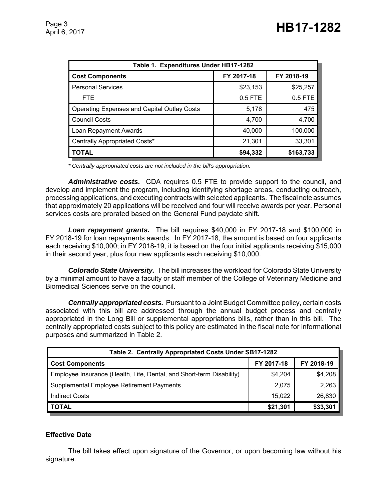| Table 1. Expenditures Under HB17-1282              |            |            |  |  |  |
|----------------------------------------------------|------------|------------|--|--|--|
| <b>Cost Components</b>                             | FY 2017-18 | FY 2018-19 |  |  |  |
| <b>Personal Services</b>                           | \$23,153   | \$25,257   |  |  |  |
| <b>FTE</b>                                         | $0.5$ FTE  | 0.5 FTE    |  |  |  |
| <b>Operating Expenses and Capital Outlay Costs</b> | 5,178      | 475        |  |  |  |
| <b>Council Costs</b>                               | 4,700      | 4,700      |  |  |  |
| Loan Repayment Awards                              | 40,000     | 100,000    |  |  |  |
| Centrally Appropriated Costs*                      | 21,301     | 33,301     |  |  |  |
| <b>TOTAL</b>                                       | \$94,332   | \$163,733  |  |  |  |

*\* Centrally appropriated costs are not included in the bill's appropriation.*

*Administrative costs.* CDA requires 0.5 FTE to provide support to the council, and develop and implement the program, including identifying shortage areas, conducting outreach, processing applications, and executing contracts with selected applicants. The fiscal note assumes that approximately 20 applications will be received and four will receive awards per year. Personal services costs are prorated based on the General Fund paydate shift.

*Loan repayment grants.* The bill requires \$40,000 in FY 2017-18 and \$100,000 in FY 2018-19 for loan repayments awards. In FY 2017-18, the amount is based on four applicants each receiving \$10,000; in FY 2018-19, it is based on the four initial applicants receiving \$15,000 in their second year, plus four new applicants each receiving \$10,000.

*Colorado State University.* The bill increases the workload for Colorado State University by a minimal amount to have a faculty or staff member of the College of Veterinary Medicine and Biomedical Sciences serve on the council.

*Centrally appropriated costs.* Pursuant to a Joint Budget Committee policy, certain costs associated with this bill are addressed through the annual budget process and centrally appropriated in the Long Bill or supplemental appropriations bills, rather than in this bill. The centrally appropriated costs subject to this policy are estimated in the fiscal note for informational purposes and summarized in Table 2.

| Table 2. Centrally Appropriated Costs Under SB17-1282                |            |            |  |  |  |
|----------------------------------------------------------------------|------------|------------|--|--|--|
| <b>Cost Components</b>                                               | FY 2017-18 | FY 2018-19 |  |  |  |
| Employee Insurance (Health, Life, Dental, and Short-term Disability) | \$4.204    | \$4,208    |  |  |  |
| Supplemental Employee Retirement Payments                            | 2,075      | 2,263      |  |  |  |
| <b>Indirect Costs</b>                                                | 15.022     | 26,830     |  |  |  |
| <b>TOTAL</b>                                                         | \$21,301   | \$33,301   |  |  |  |

## **Effective Date**

The bill takes effect upon signature of the Governor, or upon becoming law without his signature.